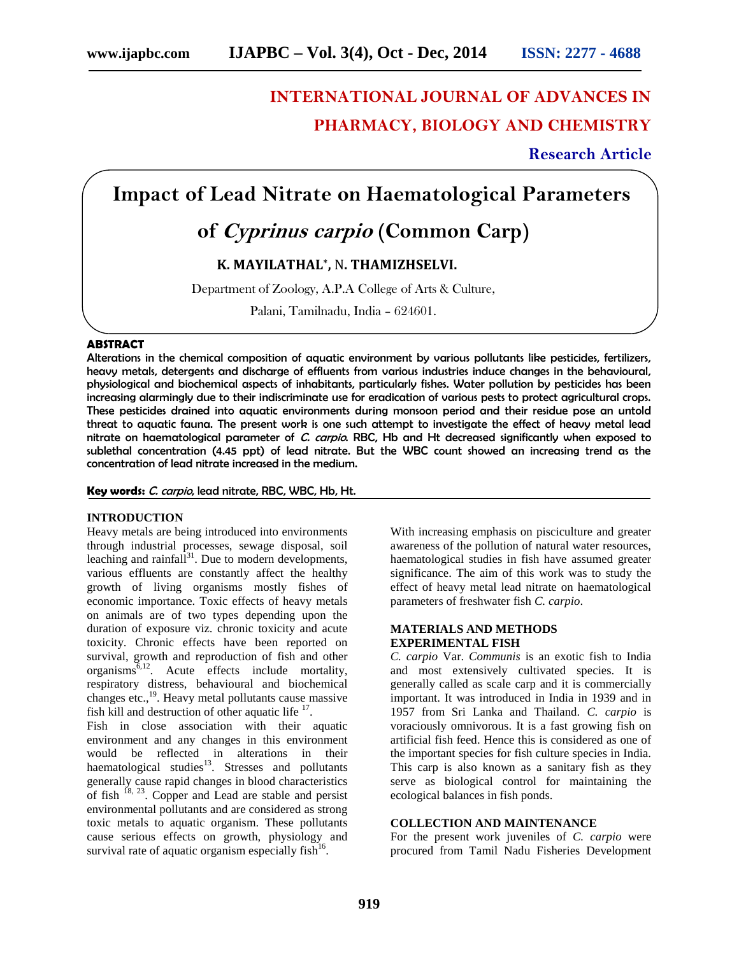# **INTERNATIONAL JOURNAL OF ADVANCES IN PHARMACY, BIOLOGY AND CHEMISTRY**

**Research Article**

## **Impact of Lead Nitrate on Haematological Parameters**

## **of** *Cyprinus carpio* **(Common Carp)**

### **K. MAYILATHAL\* ,** N**. THAMIZHSELVI.**

Department of Zoology, A.P.A College of Arts & Culture,

Palani, Tamilnadu, India – 624601.

#### **ABSTRACT**

Alterations in the chemical composition of aquatic environment by various pollutants like pesticides, fertilizers, heavy metals, detergents and discharge of effluents from various industries induce changes in the behavioural, physiological and biochemical aspects of inhabitants, particularly fishes. Water pollution by pesticides has been increasing alarmingly due to their indiscriminate use for eradication of various pests to protect agricultural crops. These pesticides drained into aquatic environments during monsoon period and their residue pose an untold threat to aquatic fauna. The present work is one such attempt to investigate the effect of heavy metal lead nitrate on haematological parameter of *C. carpio*. RBC, Hb and Ht decreased significantly when exposed to sublethal concentration (4.45 ppt) of lead nitrate. But the WBC count showed an increasing trend as the concentration of lead nitrate increased in the medium.

#### **Key words:** *C. carpio*, lead nitrate, RBC, WBC, Hb, Ht.

#### **INTRODUCTION**

Heavy metals are being introduced into environments through industrial processes, sewage disposal, soil leaching and rainfall<sup>31</sup>. Due to modern developments, various effluents are constantly affect the healthy growth of living organisms mostly fishes of economic importance. Toxic effects of heavy metals on animals are of two types depending upon the duration of exposure viz. chronic toxicity and acute toxicity. Chronic effects have been reported on survival, growth and reproduction of fish and other  $organisms<sup>6,12</sup>$ . Acute effects include mortality, respiratory distress, behavioural and biochemical changes etc., $^{19}$ . Heavy metal pollutants cause massive fish kill and destruction of other aquatic life  $17$ .

Fish in close association with their aquatic environment and any changes in this environment would be reflected in alterations in their haematological studies<sup>13</sup>. Stresses and pollutants generally cause rapid changes in blood characteristics of fish  $^{18, 23}$ . Copper and Lead are stable and persist environmental pollutants and are considered as strong toxic metals to aquatic organism. These pollutants cause serious effects on growth, physiology and survival rate of aquatic organism especially fish $1/6$ .

With increasing emphasis on pisciculture and greater awareness of the pollution of natural water resources, haematological studies in fish have assumed greater significance. The aim of this work was to study the effect of heavy metal lead nitrate on haematological parameters of freshwater fish *C. carpio*.

#### **MATERIALS AND METHODS EXPERIMENTAL FISH**

*C. carpio* Var. *Communis* is an exotic fish to India and most extensively cultivated species. It is generally called as scale carp and it is commercially important. It was introduced in India in 1939 and in 1957 from Sri Lanka and Thailand. *C. carpio* is voraciously omnivorous. It is a fast growing fish on artificial fish feed. Hence this is considered as one of the important species for fish culture species in India. This carp is also known as a sanitary fish as they serve as biological control for maintaining the ecological balances in fish ponds.

#### **COLLECTION AND MAINTENANCE**

For the present work juveniles of *C. carpio* were procured from Tamil Nadu Fisheries Development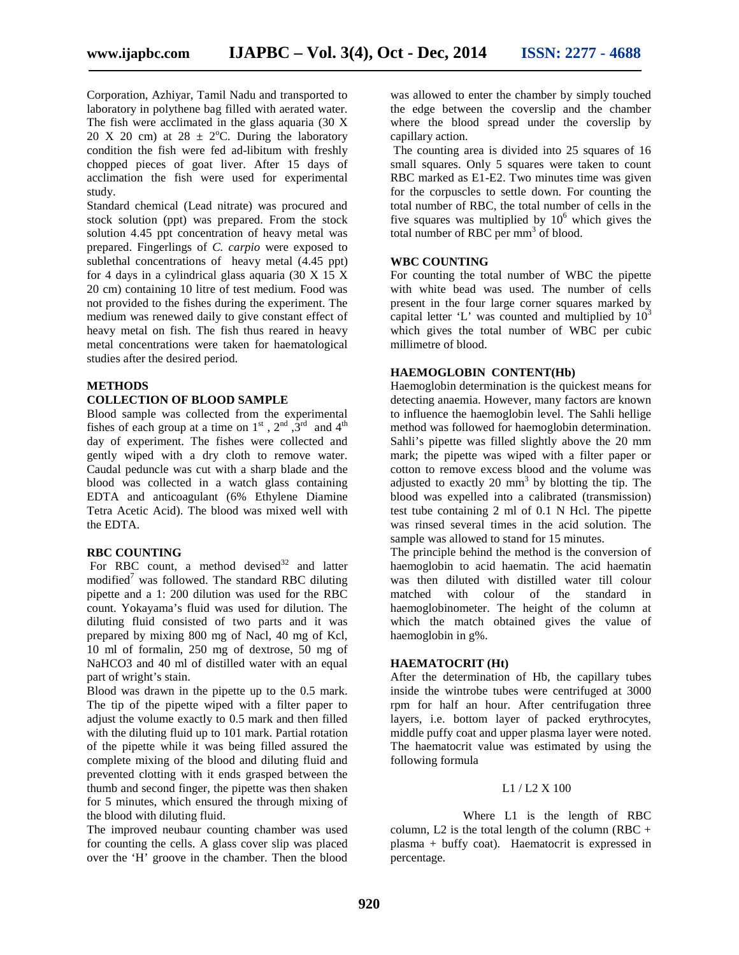Corporation, Azhiyar, Tamil Nadu and transported to laboratory in polythene bag filled with aerated water. The fish were acclimated in the glass aquaria (30 X 20 X 20 cm) at  $28 \pm 2$ °C. During the laboratory condition the fish were fed ad-libitum with freshly chopped pieces of goat liver. After 15 days of acclimation the fish were used for experimental study.

Standard chemical (Lead nitrate) was procured and stock solution (ppt) was prepared. From the stock solution 4.45 ppt concentration of heavy metal was prepared. Fingerlings of *C. carpio* were exposed to sublethal concentrations of heavy metal  $(4.45 \text{ pb})$ for 4 days in a cylindrical glass aquaria (30 X 15 X 20 cm) containing 10 litre of test medium. Food was not provided to the fishes during the experiment. The medium was renewed daily to give constant effect of heavy metal on fish. The fish thus reared in heavy metal concentrations were taken for haematological studies after the desired period.

#### **METHODS**

#### **COLLECTION OF BLOOD SAMPLE**

Blood sample was collected from the experimental fishes of each group at a time on  $1<sup>st</sup>$ ,  $2<sup>nd</sup>$ ,  $3<sup>rd</sup>$  and  $4<sup>th</sup>$ day of experiment. The fishes were collected and gently wiped with a dry cloth to remove water. Caudal peduncle was cut with a sharp blade and the blood was collected in a watch glass containing EDTA and anticoagulant (6% Ethylene Diamine Tetra Acetic Acid). The blood was mixed well with the EDTA.

#### **RBC COUNTING**

For RBC count, a method devised $32$  and latter modified<sup>7</sup> was followed. The standard RBC diluting pipette and a 1: 200 dilution was used for the RBC count. Yokayama's fluid was used for dilution. The diluting fluid consisted of two parts and it was prepared by mixing 800 mg of Nacl, 40 mg of Kcl, 10 ml of formalin, 250 mg of dextrose, 50 mg of NaHCO3 and 40 ml of distilled water with an equal part of wright's stain.

Blood was drawn in the pipette up to the 0.5 mark. The tip of the pipette wiped with a filter paper to adjust the volume exactly to 0.5 mark and then filled with the diluting fluid up to 101 mark. Partial rotation of the pipette while it was being filled assured the complete mixing of the blood and diluting fluid and prevented clotting with it ends grasped between the thumb and second finger, the pipette was then shaken for 5 minutes, which ensured the through mixing of the blood with diluting fluid.

The improved neubaur counting chamber was used for counting the cells. A glass cover slip was placed over the 'H' groove in the chamber. Then the blood

was allowed to enter the chamber by simply touched the edge between the coverslip and the chamber where the blood spread under the coverslip by capillary action.

The counting area is divided into 25 squares of 16 small squares. Only 5 squares were taken to count RBC marked as E1-E2. Two minutes time was given for the corpuscles to settle down. For counting the total number of RBC, the total number of cells in the five squares was multiplied by  $10^6$  which gives the total number of RBC per mm<sup>3</sup> of blood.

#### **WBC COUNTING**

For counting the total number of WBC the pipette with white bead was used. The number of cells present in the four large corner squares marked by capital letter 'L' was counted and multiplied by  $10<sup>3</sup>$ which gives the total number of WBC per cubic millimetre of blood.

#### **HAEMOGLOBIN CONTENT(Hb)**

Haemoglobin determination is the quickest means for detecting anaemia. However, many factors are known to influence the haemoglobin level. The Sahli hellige method was followed for haemoglobin determination. Sahli's pipette was filled slightly above the 20 mm mark; the pipette was wiped with a filter paper or cotton to remove excess blood and the volume was adjusted to exactly 20  $mm<sup>3</sup>$  by blotting the tip. The blood was expelled into a calibrated (transmission) test tube containing 2 ml of 0.1 N Hcl. The pipette was rinsed several times in the acid solution. The sample was allowed to stand for 15 minutes.

The principle behind the method is the conversion of haemoglobin to acid haematin. The acid haematin was then diluted with distilled water till colour matched with colour of the standard in haemoglobinometer. The height of the column at which the match obtained gives the value of haemoglobin in g%.

#### **HAEMATOCRIT (Ht)**

After the determination of Hb, the capillary tubes inside the wintrobe tubes were centrifuged at 3000 rpm for half an hour. After centrifugation three layers, i.e. bottom layer of packed erythrocytes, middle puffy coat and upper plasma layer were noted. The haematocrit value was estimated by using the following formula

#### L1 / L2 X 100

Where L1 is the length of RBC column, L2 is the total length of the column (RBC  $+$ plasma + buffy coat). Haematocrit is expressed in percentage.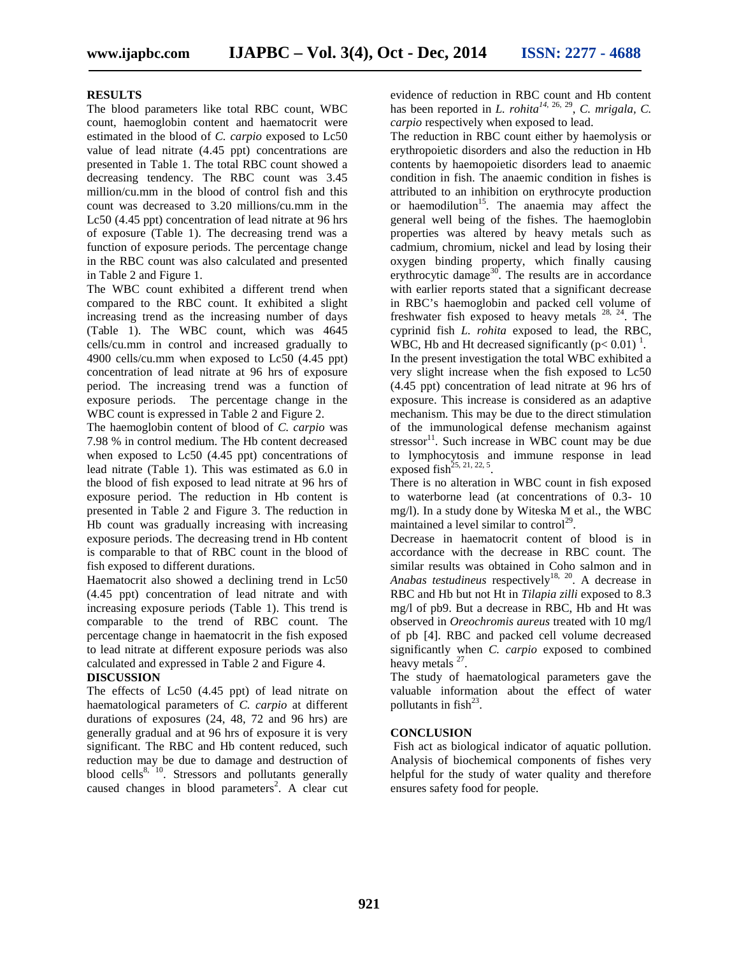#### **RESULTS**

The blood parameters like total RBC count, WBC count, haemoglobin content and haematocrit were estimated in the blood of *C. carpio* exposed to Lc50 value of lead nitrate (4.45 ppt) concentrations are presented in Table 1. The total RBC count showed a decreasing tendency. The RBC count was 3.45 million/cu.mm in the blood of control fish and this count was decreased to 3.20 millions/cu.mm in the Lc50 (4.45 ppt) concentration of lead nitrate at 96 hrs of exposure (Table 1). The decreasing trend was a function of exposure periods. The percentage change in the RBC count was also calculated and presented in Table 2 and Figure 1.

The WBC count exhibited a different trend when compared to the RBC count. It exhibited a slight increasing trend as the increasing number of days (Table 1). The WBC count, which was 4645 cells/cu.mm in control and increased gradually to 4900 cells/cu.mm when exposed to Lc50 (4.45 ppt) concentration of lead nitrate at 96 hrs of exposure period. The increasing trend was a function of exposure periods. The percentage change in the WBC count is expressed in Table 2 and Figure 2.

The haemoglobin content of blood of *C. carpio* was 7.98 % in control medium. The Hb content decreased when exposed to Lc50 (4.45 ppt) concentrations of lead nitrate (Table 1). This was estimated as 6.0 in the blood of fish exposed to lead nitrate at 96 hrs of exposure period. The reduction in Hb content is presented in Table 2 and Figure 3. The reduction in Hb count was gradually increasing with increasing exposure periods. The decreasing trend in Hb content is comparable to that of RBC count in the blood of fish exposed to different durations.

Haematocrit also showed a declining trend in Lc50 (4.45 ppt) concentration of lead nitrate and with increasing exposure periods (Table 1). This trend is comparable to the trend of RBC count. The percentage change in haematocrit in the fish exposed to lead nitrate at different exposure periods was also calculated and expressed in Table 2 and Figure 4.

#### **DISCUSSION**

The effects of Lc50 (4.45 ppt) of lead nitrate on haematological parameters of *C. carpio* at different durations of exposures (24, 48, 72 and 96 hrs) are generally gradual and at 96 hrs of exposure it is very significant. The RBC and Hb content reduced, such reduction may be due to damage and destruction of blood cells $8, 10$ . Stressors and pollutants generally caused changes in blood parameters<sup>2</sup>. A clear cut evidence of reduction in RBC count and Hb content has been reported in *L. rohita<sup>14</sup>*, 26, 29 , *C. mrigala, C. carpio* respectively when exposed to lead.

The reduction in RBC count either by haemolysis or erythropoietic disorders and also the reduction in Hb contents by haemopoietic disorders lead to anaemic condition in fish. The anaemic condition in fishes is attributed to an inhibition on erythrocyte production or haemodilution<sup>15</sup>. The anaemia may affect the general well being of the fishes. The haemoglobin properties was altered by heavy metals such as cadmium, chromium, nickel and lead by losing their oxygen binding property, which finally causing erythrocytic damage<sup>30</sup>. The results are in accordance with earlier reports stated that a significant decrease in RBC's haemoglobin and packed cell volume of freshwater fish exposed to heavy metals  $28$ ,  $24$ . The cyprinid fish *L. rohita* exposed to lead, the RBC, WBC, Hb and Ht decreased significantly  $(p< 0.01)^{-1}$ .

In the present investigation the total WBC exhibited a very slight increase when the fish exposed to Lc50 (4.45 ppt) concentration of lead nitrate at 96 hrs of exposure. This increase is considered as an adaptive mechanism. This may be due to the direct stimulation of the immunological defense mechanism against stressor $^{11}$ . Such increase in WBC count may be due to lymphocytosis and immune response in lead exposed fish<sup>25, 21, 22, 5</sup>.

There is no alteration in WBC count in fish exposed to waterborne lead (at concentrations of 0.3- 10 mg/l). In a study done by Witeska M et al., the WBC maintained a level similar to control<sup>29</sup>.

Decrease in haematocrit content of blood is in accordance with the decrease in RBC count. The similar results was obtained in Coho salmon and in *Anabas testudineus* respectively<sup>18, 20</sup>. A decrease in RBC and Hb but not Ht in *Tilapia zilli* exposed to 8.3 mg/l of pb9. But a decrease in RBC, Hb and Ht was observed in *Oreochromis aureus* treated with 10 mg/l of pb [4]. RBC and packed cell volume decreased significantly when *C. carpio* exposed to combined heavy metals <sup>27</sup>.

The study of haematological parameters gave the valuable information about the effect of water pollutants in  $fish^{23}$ .

#### **CONCLUSION**

Fish act as biological indicator of aquatic pollution. Analysis of biochemical components of fishes very helpful for the study of water quality and therefore ensures safety food for people.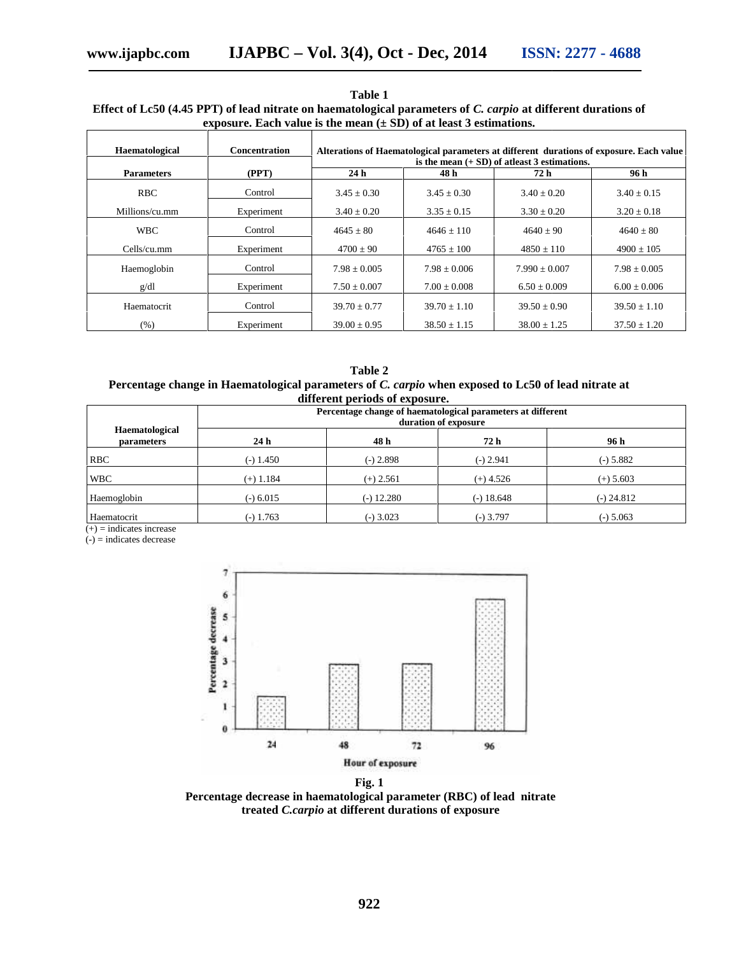| Table 1                                                                                                       |
|---------------------------------------------------------------------------------------------------------------|
| Effect of Lc50 (4.45 PPT) of lead nitrate on haematological parameters of C. carpio at different durations of |
| exposure. Each value is the mean $(\pm SD)$ of at least 3 estimations.                                        |

| Haematological               | Concentration                                                                                       | Alterations of Haematological parameters at different durations of exposure. Each value |                                                                                     |                   |                  |  |  |
|------------------------------|-----------------------------------------------------------------------------------------------------|-----------------------------------------------------------------------------------------|-------------------------------------------------------------------------------------|-------------------|------------------|--|--|
| <b>Parameters</b>            |                                                                                                     | is the mean $(+ SD)$ of atleast 3 estimations.<br>24 <sub>h</sub><br>72h<br>96 h        |                                                                                     |                   |                  |  |  |
|                              | (PPT)                                                                                               |                                                                                         | 48 h                                                                                |                   |                  |  |  |
| <b>RBC</b>                   | Control                                                                                             | $3.45 \pm 0.30$                                                                         | $3.45 \pm 0.30$                                                                     | $3.40 \pm 0.20$   | $3.40 \pm 0.15$  |  |  |
| Millions/cu.mm               | Experiment                                                                                          | $3.40 \pm 0.20$                                                                         | $3.35 \pm 0.15$                                                                     | $3.30 \pm 0.20$   | $3.20 \pm 0.18$  |  |  |
| <b>WBC</b>                   | Control                                                                                             | $4645 \pm 80$                                                                           | $4646 \pm 110$                                                                      | $4640 \pm 90$     | $4640 \pm 80$    |  |  |
| Cells/cu.mm                  | Experiment                                                                                          | $4700 \pm 90$                                                                           | $4765 \pm 100$                                                                      | $4850 \pm 110$    | $4900 \pm 105$   |  |  |
| Haemoglobin                  | Control                                                                                             | $7.98 \pm 0.005$                                                                        | $7.98 \pm 0.006$                                                                    | $7.990 \pm 0.007$ | $7.98 \pm 0.005$ |  |  |
| g/dl                         | Experiment                                                                                          | $7.50 \pm 0.007$                                                                        | $7.00 \pm 0.008$                                                                    | $6.50 \pm 0.009$  | $6.00 \pm 0.006$ |  |  |
| Haematocrit                  | Control                                                                                             | $39.70 \pm 0.77$                                                                        | $39.70 \pm 1.10$                                                                    | $39.50 \pm 0.90$  | $39.50 \pm 1.10$ |  |  |
| (% )                         | Experiment                                                                                          | $39.00 \pm 0.95$                                                                        | $38.50 \pm 1.15$                                                                    | $38.00 \pm 1.25$  | $37.50 \pm 1.20$ |  |  |
|                              | Percentage change in Haematological parameters of C. carpio when exposed to Lc50 of lead nitrate at | Table 2<br>different periods of exposure.                                               | Percentage change of haematological parameters at different<br>duration of exposure |                   |                  |  |  |
| Haematological<br>parameters | 24h                                                                                                 | 48h                                                                                     | 72h                                                                                 |                   | 96 h             |  |  |
| <b>RBC</b>                   | $(-) 1.450$                                                                                         | $(-) 2.898$                                                                             | $(-)$ 2.941                                                                         |                   | $(-) 5.882$      |  |  |
| <b>WBC</b>                   | $(+)$ 1.184                                                                                         | $(+)$ 2.561                                                                             | $(+)$ 4.526                                                                         |                   | $(+) 5.603$      |  |  |
| Haemoglobin                  | $(-) 6.015$                                                                                         | $(-)$ 12.280                                                                            | $(-) 18.648$                                                                        |                   | $(-)$ 24.812     |  |  |

**Table 2 Percentage change in Haematological parameters of** *C. carpio* **when exposed to Lc50 of lead nitrate at** I parameters of *C. carpio* when exploit different periods of exposure.

|                                     | unici che periodo oi caposure.<br>Percentage change of haematological parameters at different<br>duration of exposure |              |              |              |  |  |
|-------------------------------------|-----------------------------------------------------------------------------------------------------------------------|--------------|--------------|--------------|--|--|
| Haematological<br><b>parameters</b> | 24 h                                                                                                                  | 48 h         | 72 h         | 96 h         |  |  |
| <b>RBC</b>                          | $(-)$ 1.450                                                                                                           | $(-) 2.898$  | $(-)$ 2.941  | $(-) 5.882$  |  |  |
| <b>WBC</b>                          | $(+)$ 1.184                                                                                                           | $(+)$ 2.561  | $(+)$ 4.526  | $(+) 5.603$  |  |  |
| Haemoglobin                         | $(-) 6.015$                                                                                                           | $(-)$ 12.280 | $(-) 18.648$ | $(-) 24.812$ |  |  |
| Haematocrit                         | $(-)$ 1.763                                                                                                           | $(-)$ 3.023  | (-) 3.797    | $(-) 5.063$  |  |  |

 $(+)$  = indicates increase

 $(-)$  = indicates decrease



**Fig. 1**

Percentage decrease in haematological parameter (RBC) of lead nitrate **treated** *C.carpio* **at different durations of exposure** *C.carpio***different durations**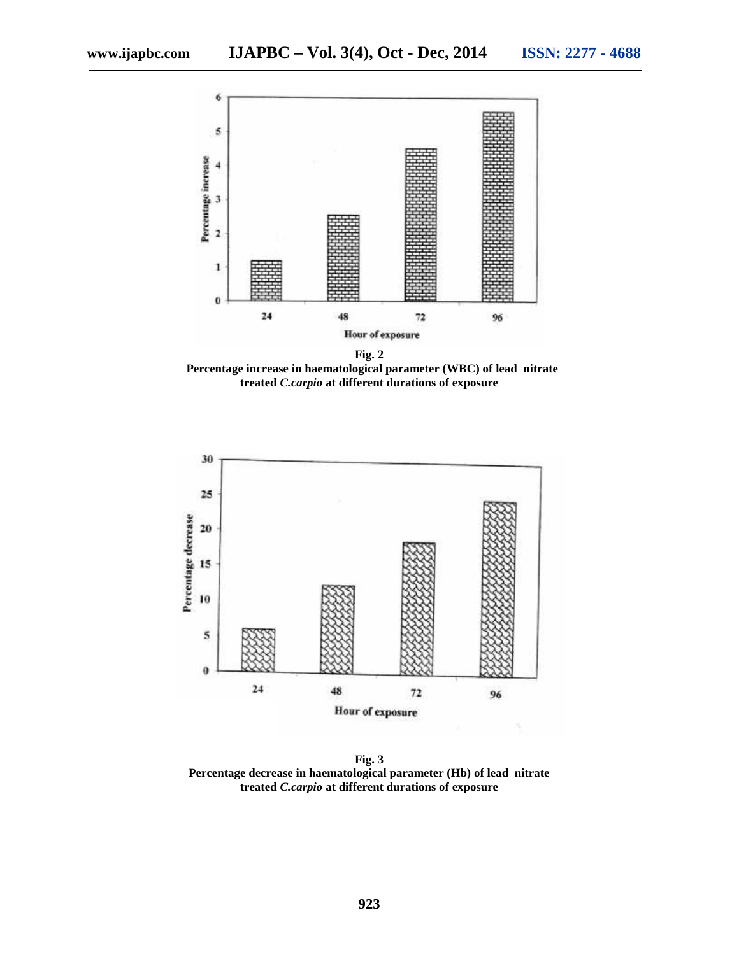

**Percentage increase in haematological parameter (WBC) of lead nitrate Percentage in haematological nitratetreated** *C.carpio* **at different durations of exposure**



**Fig. 3 Percentage decrease in haematological parameter (Hb) of lead nitrate nitratetreated** *C.carpio* **at different durations of exposure**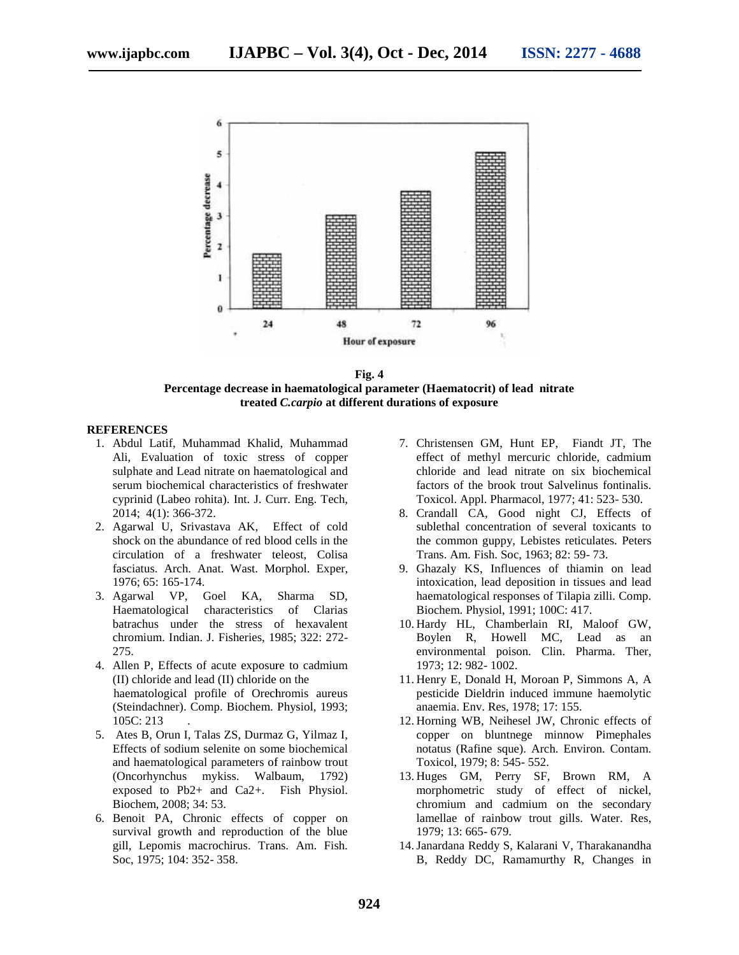

**Fig. 4 Percentage decrease in haematological parameter (Haematocrit) of lead nitrate lead treated** *C.carpio* **at different durations of exposure**

#### **REFERENCES**

- 1. Abdul Latif, Muhammad Khalid, Muhammad Ali, Evaluation of toxic stress of copper sulphate and Lead nitrate on haematological and serum biochemical characteristics of freshwater cyprinid (Labeo rohita). Int. J. Curr. Eng. Tech, 2014; 4(1): 366-372. ion of toxic stress of copper<br>Lead nitrate on haematological and<br>mical characteristics of freshwater<br>beo rohita). Int. J. Curr. Eng. Tech,
- 2. Agarwal U, Srivastava AK, Effect of cold shock on the abundance of red blood cells in the circulation of a freshwater teleost, Colisa fasciatus. Arch. Anat. Wast. Morphol. Exper, 1976; 65: 165-174. Agarwal U, Srivastava AK,<br>shock on the abundance of red<br>circulation of a freshwater<br>fasciatus. Arch. Anat. Wast.
- 3. Agarwal VP, Goel KA, Sharma SD, Haematological characteristics of Clarias batrachus under the stress of hexavalent chromium. Indian. J. Fisheries, 1985; 322: 272- 275.
- 4. Allen P, Effects of acute exposure to cadmium (II) chloride and lead (II) chloride on the haematological profile of Orechromis aureus (Steindachner). Comp. Biochem. Physiol, 1993; 105C: 213 . chromium. Indian. J. Fisheries, 1985; 322: 272-<br>275.<br>Allen P, Effects of acute exposure to cadmium<br>(II) chloride and lead (II) chloride on the<br>haematological profile of Orechromis aureus<br>(Steindachner). Comp. Biochem. Phys
- 5. Ates B, Orun I, Talas ZS, Durmaz G, Yilmaz I, Effects of sodium selenite on some biochemical and haematological parameters of rainbow trout (Oncorhynchus mykiss. Walbaum, 1792) exposed to  $Pb2+$  and  $Ca2+.$  Fish Physiol. Biochem, 2008; 34: 53.
- 6. Benoit PA, Chronic effects of copper on survival growth and reproduction of the blue gill, Lepomis macrochirus. Trans. Am. Fish. Soc, 1975; 104: 352- 358. Benoit PA, Chronic effects of copper on<br>survival growth and reproduction of the blue<br>gill, Lepomis macrochirus. Trans. Am. Fish.
- 7. Christensen GM, Hunt EP, Fiandt JT, The effect of methyl mercuric chloride, cadmium chloride and lead nitrate on six biochemical factors of the brook trout Salvelinus fontinalis. Toxicol. Appl. Pharmacol, 1977; 41: 523- 530. Christensen GM, Hunt EP, Fiandt JT, The effect of methyl mercuric chloride, cadmium chloride and lead nitrate on six biochemical factors of the brook trout Salvelinus fontinalis. Toxicol. Appl. Pharmacol, 1977; 41: 523-530
- 8. Crandall CA, Good night CJ, Effects of sublethal concentration of several toxicants to the common guppy, Lebistes reticulates. Peters Trans. Am. Fish. Soc, 1963; 82: 59- 73.
- 9. Ghazaly KS, Influences of thiamin on lead intoxication, lead deposition in tissues and lead haematological responses of Tilapia zilli. Comp. Biochem. Physiol, 1991; 100C: 417.
- 10. Hardy HL, Chamberlain RI, Maloof GW, Boylen R, Howell MC, Lead as an environmental poison. Clin. Pharma. Ther, 1973; 12: 982- 1002.
- 11. Henry E, Donald H, Moroan P, Simmons A, A pesticide Dieldrin induced immune haemolytic anaemia. Env. Res, 1978; 17: 155.
- 12. Horning WB, Neihesel JW, Chronic effects of copper on bluntnege minnow Pimephales notatus (Rafine sque). Arch. Environ. Contam. Toxicol, 1979; 8: 545- 552. haematological responses of Tilapia zilli. Comp.<br>Biochem. Physiol, 1991; 100C: 417.<br>Hardy HL, Chamberlain RI, Maloof GW,<br>Boylen R, Howell MC, Lead as an<br>environmental poison. Clin. Pharma. Ther,<br>1973; 12: 982- 1002.<br>Henry
- 13. Huges GM, Perry SF, Brown RM, A morphometric study of effect of nickel, chromium and cadmium on the secondary lamellae of rainbow trout gills. Water. Res, 1979; 13: 665- 679. lamellae of rainbow trout gills.<br> 1979; 13: 665- 679.<br> 14. Janardana Reddy S, Kalarani V, Tl<br> B, Reddy DC, Ramamurthy R,
- 14.Janardana Reddy S, Kalarani V, Tharakanandha B, Reddy DC, Ramamurthy R, Changes in